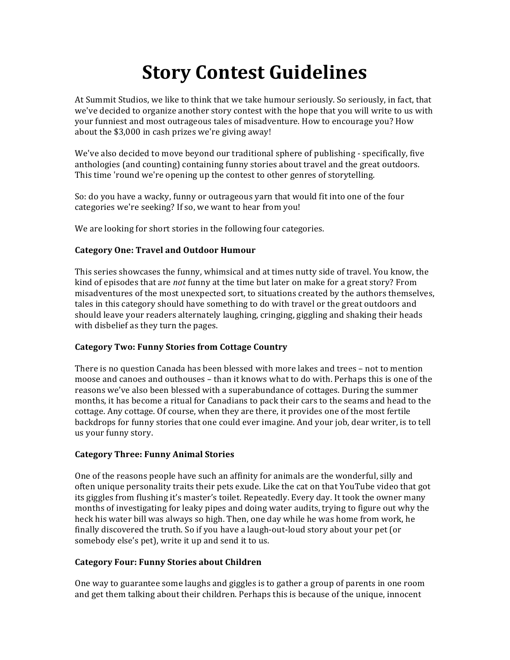# **Story Contest Guidelines**

At Summit Studios, we like to think that we take humour seriously. So seriously, in fact, that we've decided to organize another story contest with the hope that you will write to us with your funniest and most outrageous tales of misadventure. How to encourage you? How about the  $$3,000$  in cash prizes we're giving away!

We've also decided to move beyond our traditional sphere of publishing - specifically, five anthologies (and counting) containing funny stories about travel and the great outdoors. This time 'round we're opening up the contest to other genres of storytelling.

So: do you have a wacky, funny or outrageous yarn that would fit into one of the four categories we're seeking? If so, we want to hear from you!

We are looking for short stories in the following four categories.

## **Category&One:&Travel&and&Outdoor&Humour**

This series showcases the funny, whimsical and at times nutty side of travel. You know, the kind of episodes that are *not* funny at the time but later on make for a great story? From misadventures of the most unexpected sort, to situations created by the authors themselves, tales in this category should have something to do with travel or the great outdoors and should leave your readers alternately laughing, cringing, giggling and shaking their heads with disbelief as they turn the pages.

## **Category Two: Funny Stories from Cottage Country**

There is no question Canada has been blessed with more lakes and trees – not to mention moose and canoes and outhouses – than it knows what to do with. Perhaps this is one of the reasons we've also been blessed with a superabundance of cottages. During the summer months, it has become a ritual for Canadians to pack their cars to the seams and head to the cottage. Any cottage. Of course, when they are there, it provides one of the most fertile backdrops for funny stories that one could ever imagine. And your job, dear writer, is to tell us your funny story.

### **Category Three: Funny Animal Stories**

One of the reasons people have such an affinity for animals are the wonderful, silly and often unique personality traits their pets exude. Like the cat on that YouTube video that got its giggles from flushing it's master's toilet. Repeatedly. Every day. It took the owner many months of investigating for leaky pipes and doing water audits, trying to figure out why the heck his water bill was always so high. Then, one day while he was home from work, he finally discovered the truth. So if you have a laugh-out-loud story about your pet (or somebody else's pet), write it up and send it to us.

## **Category Four: Funny Stories about Children**

One way to guarantee some laughs and giggles is to gather a group of parents in one room and get them talking about their children. Perhaps this is because of the unique, innocent